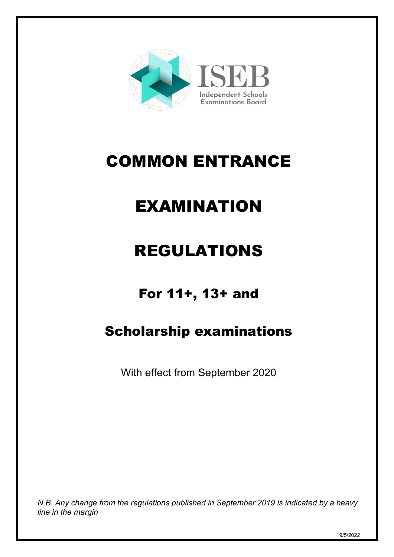

# COMMON ENTRANCE

# EXAMINATION

# REGULATIONS

## For 11+, 13+ and

## Scholarship examinations

With effect from September 2020

*N.B. Any change from the regulations published in September 2019 is indicated by a heavy line in the margin*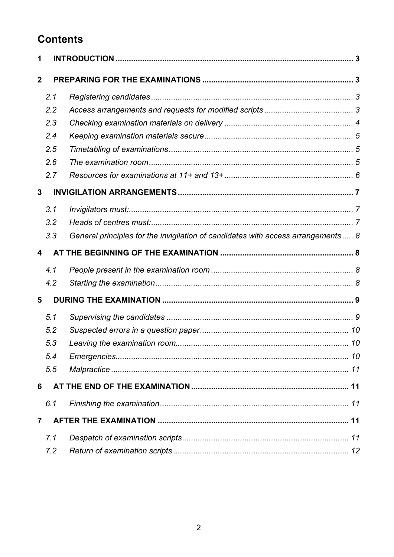## **Contents**

| 1                       |     |                                                                                  |  |
|-------------------------|-----|----------------------------------------------------------------------------------|--|
| $\mathbf{2}$            |     |                                                                                  |  |
|                         | 2.1 |                                                                                  |  |
|                         | 2.2 |                                                                                  |  |
|                         | 2.3 |                                                                                  |  |
|                         | 2.4 |                                                                                  |  |
|                         | 2.5 |                                                                                  |  |
|                         | 2.6 |                                                                                  |  |
|                         | 2.7 |                                                                                  |  |
| 3                       |     |                                                                                  |  |
|                         | 3.1 |                                                                                  |  |
|                         | 3.2 |                                                                                  |  |
|                         | 3.3 | General principles for the invigilation of candidates with access arrangements 8 |  |
| $\overline{\mathbf{4}}$ |     |                                                                                  |  |
|                         | 4.1 |                                                                                  |  |
|                         | 4.2 |                                                                                  |  |
| 5                       |     |                                                                                  |  |
|                         | 5.1 |                                                                                  |  |
|                         | 5.2 |                                                                                  |  |
|                         | 5.3 |                                                                                  |  |
|                         | 5.4 |                                                                                  |  |
|                         | 5.5 |                                                                                  |  |
| 6                       |     |                                                                                  |  |
|                         | 6.1 |                                                                                  |  |
| $\overline{7}$          |     |                                                                                  |  |
|                         | 7.1 |                                                                                  |  |
|                         | 7.2 |                                                                                  |  |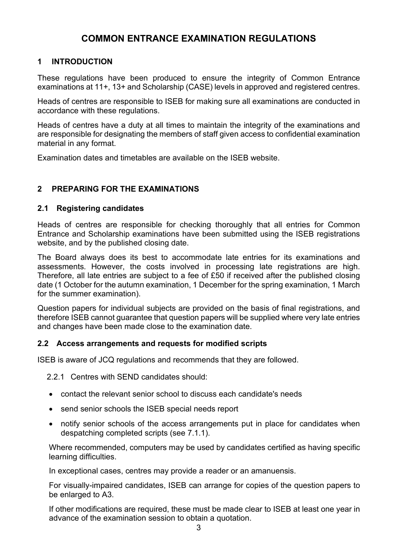## **COMMON ENTRANCE EXAMINATION REGULATIONS**

## <span id="page-2-0"></span>**1 INTRODUCTION**

These regulations have been produced to ensure the integrity of Common Entrance examinations at 11+, 13+ and Scholarship (CASE) levels in approved and registered centres.

Heads of centres are responsible to ISEB for making sure all examinations are conducted in accordance with these regulations.

Heads of centres have a duty at all times to maintain the integrity of the examinations and are responsible for designating the members of staff given access to confidential examination material in any format.

Examination dates and timetables are available on the ISEB website.

## <span id="page-2-1"></span>**2 PREPARING FOR THE EXAMINATIONS**

## <span id="page-2-2"></span>**2.1 Registering candidates**

Heads of centres are responsible for checking thoroughly that all entries for Common Entrance and Scholarship examinations have been submitted using the ISEB registrations website, and by the published closing date.

The Board always does its best to accommodate late entries for its examinations and assessments. However, the costs involved in processing late registrations are high. Therefore, all late entries are subject to a fee of £50 if received after the published closing date (1 October for the autumn examination, 1 December for the spring examination, 1 March for the summer examination).

Question papers for individual subjects are provided on the basis of final registrations, and therefore ISEB cannot guarantee that question papers will be supplied where very late entries and changes have been made close to the examination date.

## <span id="page-2-3"></span>**2.2 Access arrangements and requests for modified scripts**

ISEB is aware of JCQ regulations and recommends that they are followed.

2.2.1 Centres with SEND candidates should:

- contact the relevant senior school to discuss each candidate's needs
- send senior schools the ISEB special needs report
- notify senior schools of the access arrangements put in place for candidates when despatching completed scripts (see 7.1.1).

Where recommended, computers may be used by candidates certified as having specific learning difficulties.

In exceptional cases, centres may provide a reader or an amanuensis.

For visually-impaired candidates, ISEB can arrange for copies of the question papers to be enlarged to A3.

If other modifications are required, these must be made clear to ISEB at least one year in advance of the examination session to obtain a quotation.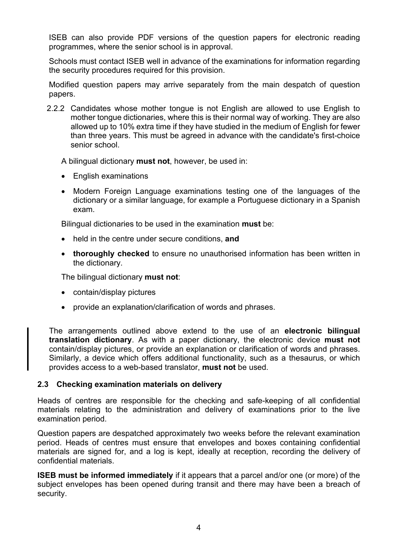ISEB can also provide PDF versions of the question papers for electronic reading programmes, where the senior school is in approval.

Schools must contact ISEB well in advance of the examinations for information regarding the security procedures required for this provision.

Modified question papers may arrive separately from the main despatch of question papers.

2.2.2 Candidates whose mother tongue is not English are allowed to use English to mother tongue dictionaries, where this is their normal way of working. They are also allowed up to 10% extra time if they have studied in the medium of English for fewer than three years. This must be agreed in advance with the candidate's first-choice senior school.

A bilingual dictionary **must not**, however, be used in:

- English examinations
- Modern Foreign Language examinations testing one of the languages of the dictionary or a similar language, for example a Portuguese dictionary in a Spanish exam.

Bilingual dictionaries to be used in the examination **must** be:

- held in the centre under secure conditions, **and**
- **thoroughly checked** to ensure no unauthorised information has been written in the dictionary.

The bilingual dictionary **must not**:

- contain/display pictures
- provide an explanation/clarification of words and phrases.

The arrangements outlined above extend to the use of an **electronic bilingual translation dictionary**. As with a paper dictionary, the electronic device **must not** contain/display pictures, or provide an explanation or clarification of words and phrases. Similarly, a device which offers additional functionality, such as a thesaurus, or which provides access to a web-based translator, **must not** be used.

#### <span id="page-3-0"></span>**2.3 Checking examination materials on delivery**

Heads of centres are responsible for the checking and safe-keeping of all confidential materials relating to the administration and delivery of examinations prior to the live examination period.

Question papers are despatched approximately two weeks before the relevant examination period. Heads of centres must ensure that envelopes and boxes containing confidential materials are signed for, and a log is kept, ideally at reception, recording the delivery of confidential materials.

**ISEB must be informed immediately** if it appears that a parcel and/or one (or more) of the subject envelopes has been opened during transit and there may have been a breach of security.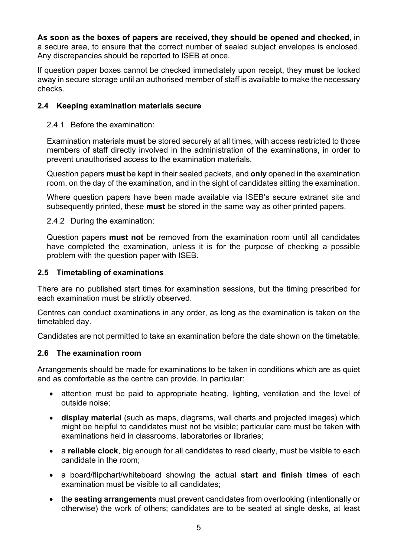**As soon as the boxes of papers are received, they should be opened and checked**, in a secure area, to ensure that the correct number of sealed subject envelopes is enclosed. Any discrepancies should be reported to ISEB at once.

If question paper boxes cannot be checked immediately upon receipt, they **must** be locked away in secure storage until an authorised member of staff is available to make the necessary checks.

## <span id="page-4-0"></span>**2.4 Keeping examination materials secure**

### 2.4.1 Before the examination:

Examination materials **must** be stored securely at all times, with access restricted to those members of staff directly involved in the administration of the examinations, in order to prevent unauthorised access to the examination materials.

Question papers **must** be kept in their sealed packets, and **only** opened in the examination room, on the day of the examination, and in the sight of candidates sitting the examination.

Where question papers have been made available via ISEB's secure extranet site and subsequently printed, these **must** be stored in the same way as other printed papers.

2.4.2 During the examination:

Question papers **must not** be removed from the examination room until all candidates have completed the examination, unless it is for the purpose of checking a possible problem with the question paper with ISEB.

### <span id="page-4-1"></span>**2.5 Timetabling of examinations**

There are no published start times for examination sessions, but the timing prescribed for each examination must be strictly observed.

Centres can conduct examinations in any order, as long as the examination is taken on the timetabled day.

Candidates are not permitted to take an examination before the date shown on the timetable.

## <span id="page-4-2"></span>**2.6 The examination room**

Arrangements should be made for examinations to be taken in conditions which are as quiet and as comfortable as the centre can provide. In particular:

- attention must be paid to appropriate heating, lighting, ventilation and the level of outside noise;
- **display material** (such as maps, diagrams, wall charts and projected images) which might be helpful to candidates must not be visible; particular care must be taken with examinations held in classrooms, laboratories or libraries;
- a **reliable clock**, big enough for all candidates to read clearly, must be visible to each candidate in the room;
- a board/flipchart/whiteboard showing the actual **start and finish times** of each examination must be visible to all candidates;
- the **seating arrangements** must prevent candidates from overlooking (intentionally or otherwise) the work of others; candidates are to be seated at single desks, at least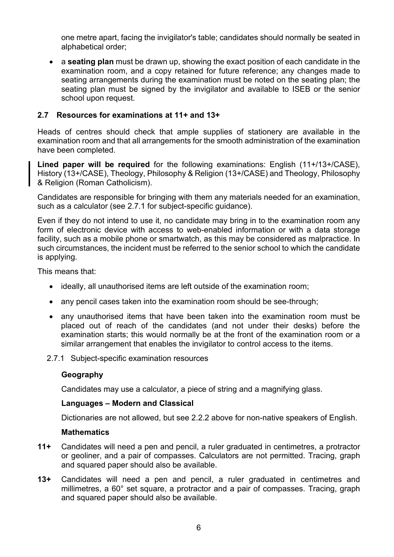one metre apart, facing the invigilator's table; candidates should normally be seated in alphabetical order;

• a **seating plan** must be drawn up, showing the exact position of each candidate in the examination room, and a copy retained for future reference; any changes made to seating arrangements during the examination must be noted on the seating plan; the seating plan must be signed by the invigilator and available to ISEB or the senior school upon request.

## <span id="page-5-0"></span>**2.7 Resources for examinations at 11+ and 13+**

Heads of centres should check that ample supplies of stationery are available in the examination room and that all arrangements for the smooth administration of the examination have been completed.

**Lined paper will be required** for the following examinations: English (11+/13+/CASE), History (13+/CASE), Theology, Philosophy & Religion (13+/CASE) and Theology, Philosophy & Religion (Roman Catholicism).

Candidates are responsible for bringing with them any materials needed for an examination, such as a calculator (see 2.7.1 for subject-specific guidance).

Even if they do not intend to use it, no candidate may bring in to the examination room any form of electronic device with access to web-enabled information or with a data storage facility, such as a mobile phone or smartwatch, as this may be considered as malpractice. In such circumstances, the incident must be referred to the senior school to which the candidate is applying.

This means that:

- ideally, all unauthorised items are left outside of the examination room;
- any pencil cases taken into the examination room should be see-through;
- any unauthorised items that have been taken into the examination room must be placed out of reach of the candidates (and not under their desks) before the examination starts; this would normally be at the front of the examination room or a similar arrangement that enables the invigilator to control access to the items.
- 2.7.1 Subject-specific examination resources

## **Geography**

Candidates may use a calculator, a piece of string and a magnifying glass.

#### **Languages – Modern and Classical**

Dictionaries are not allowed, but see 2.2.2 above for non-native speakers of English.

#### **Mathematics**

- **11+** Candidates will need a pen and pencil, a ruler graduated in centimetres, a protractor or geoliner, and a pair of compasses. Calculators are not permitted. Tracing, graph and squared paper should also be available.
- **13+** Candidates will need a pen and pencil, a ruler graduated in centimetres and millimetres, a 60° set square, a protractor and a pair of compasses. Tracing, graph and squared paper should also be available.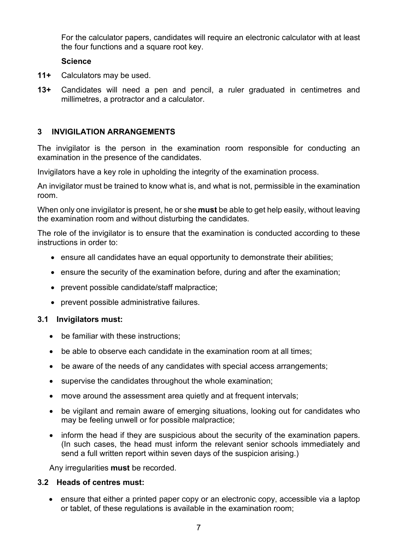For the calculator papers, candidates will require an electronic calculator with at least the four functions and a square root key.

### **Science**

- **11+** Calculators may be used.
- **13+** Candidates will need a pen and pencil, a ruler graduated in centimetres and millimetres, a protractor and a calculator.

## <span id="page-6-0"></span>**3 INVIGILATION ARRANGEMENTS**

The invigilator is the person in the examination room responsible for conducting an examination in the presence of the candidates.

Invigilators have a key role in upholding the integrity of the examination process.

An invigilator must be trained to know what is, and what is not, permissible in the examination room.

When only one invigilator is present, he or she **must** be able to get help easily, without leaving the examination room and without disturbing the candidates.

The role of the invigilator is to ensure that the examination is conducted according to these instructions in order to:

- ensure all candidates have an equal opportunity to demonstrate their abilities;
- ensure the security of the examination before, during and after the examination;
- prevent possible candidate/staff malpractice;
- prevent possible administrative failures.

## <span id="page-6-1"></span>**3.1 Invigilators must:**

- be familiar with these instructions;
- be able to observe each candidate in the examination room at all times;
- be aware of the needs of any candidates with special access arrangements;
- supervise the candidates throughout the whole examination;
- move around the assessment area quietly and at frequent intervals;
- be vigilant and remain aware of emerging situations, looking out for candidates who may be feeling unwell or for possible malpractice;
- inform the head if they are suspicious about the security of the examination papers. (In such cases, the head must inform the relevant senior schools immediately and send a full written report within seven days of the suspicion arising.)

Any irregularities **must** be recorded.

#### <span id="page-6-2"></span>**3.2 Heads of centres must:**

• ensure that either a printed paper copy or an electronic copy, accessible via a laptop or tablet, of these regulations is available in the examination room;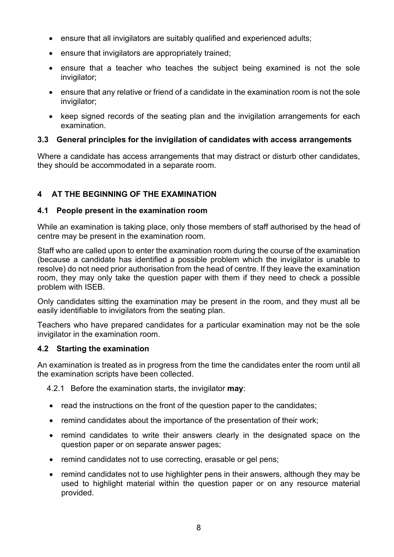- ensure that all invigilators are suitably qualified and experienced adults;
- ensure that invigilators are appropriately trained;
- ensure that a teacher who teaches the subject being examined is not the sole invigilator;
- ensure that any relative or friend of a candidate in the examination room is not the sole invigilator;
- keep signed records of the seating plan and the invigilation arrangements for each examination.

## <span id="page-7-0"></span>**3.3 General principles for the invigilation of candidates with access arrangements**

Where a candidate has access arrangements that may distract or disturb other candidates, they should be accommodated in a separate room.

## <span id="page-7-1"></span>**4 AT THE BEGINNING OF THE EXAMINATION**

## <span id="page-7-2"></span>**4.1 People present in the examination room**

While an examination is taking place, only those members of staff authorised by the head of centre may be present in the examination room.

Staff who are called upon to enter the examination room during the course of the examination (because a candidate has identified a possible problem which the invigilator is unable to resolve) do not need prior authorisation from the head of centre. If they leave the examination room, they may only take the question paper with them if they need to check a possible problem with ISEB.

Only candidates sitting the examination may be present in the room, and they must all be easily identifiable to invigilators from the seating plan.

Teachers who have prepared candidates for a particular examination may not be the sole invigilator in the examination room.

## <span id="page-7-3"></span>**4.2 Starting the examination**

An examination is treated as in progress from the time the candidates enter the room until all the examination scripts have been collected.

4.2.1 Before the examination starts, the invigilator **may**:

- read the instructions on the front of the question paper to the candidates;
- remind candidates about the importance of the presentation of their work;
- remind candidates to write their answers clearly in the designated space on the question paper or on separate answer pages;
- remind candidates not to use correcting, erasable or gel pens;
- remind candidates not to use highlighter pens in their answers, although they may be used to highlight material within the question paper or on any resource material provided.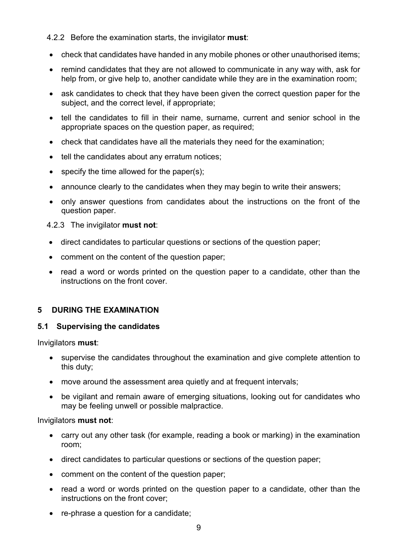### 4.2.2 Before the examination starts, the invigilator **must**:

- check that candidates have handed in any mobile phones or other unauthorised items;
- remind candidates that they are not allowed to communicate in any way with, ask for help from, or give help to, another candidate while they are in the examination room;
- ask candidates to check that they have been given the correct question paper for the subject, and the correct level, if appropriate;
- tell the candidates to fill in their name, surname, current and senior school in the appropriate spaces on the question paper, as required;
- check that candidates have all the materials they need for the examination;
- tell the candidates about any erratum notices;
- specify the time allowed for the paper(s);
- announce clearly to the candidates when they may begin to write their answers;
- only answer questions from candidates about the instructions on the front of the question paper.

#### 4.2.3 The invigilator **must not**:

- direct candidates to particular questions or sections of the question paper;
- comment on the content of the question paper;
- read a word or words printed on the question paper to a candidate, other than the instructions on the front cover.

## <span id="page-8-0"></span>**5 DURING THE EXAMINATION**

#### <span id="page-8-1"></span>**5.1 Supervising the candidates**

Invigilators **must**:

- supervise the candidates throughout the examination and give complete attention to this duty;
- move around the assessment area quietly and at frequent intervals;
- be vigilant and remain aware of emerging situations, looking out for candidates who may be feeling unwell or possible malpractice.

#### Invigilators **must not**:

- carry out any other task (for example, reading a book or marking) in the examination room;
- direct candidates to particular questions or sections of the question paper;
- comment on the content of the question paper;
- read a word or words printed on the question paper to a candidate, other than the instructions on the front cover;
- re-phrase a question for a candidate;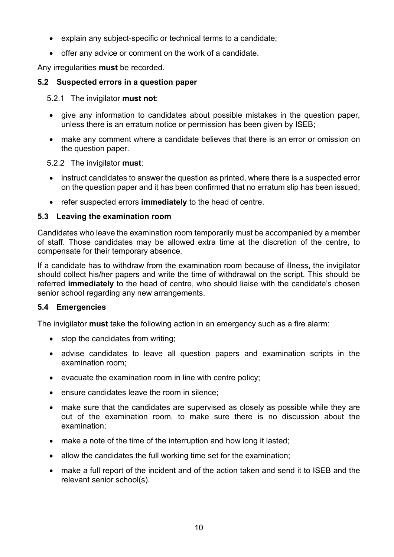- explain any subject-specific or technical terms to a candidate;
- offer any advice or comment on the work of a candidate.

Any irregularities **must** be recorded.

## <span id="page-9-0"></span>**5.2 Suspected errors in a question paper**

## 5.2.1 The invigilator **must not**:

- give any information to candidates about possible mistakes in the question paper, unless there is an erratum notice or permission has been given by ISEB;
- make any comment where a candidate believes that there is an error or omission on the question paper.

## 5.2.2 The invigilator **must**:

- instruct candidates to answer the question as printed, where there is a suspected error on the question paper and it has been confirmed that no erratum slip has been issued;
- refer suspected errors **immediately** to the head of centre.

## <span id="page-9-1"></span>**5.3 Leaving the examination room**

Candidates who leave the examination room temporarily must be accompanied by a member of staff. Those candidates may be allowed extra time at the discretion of the centre, to compensate for their temporary absence.

If a candidate has to withdraw from the examination room because of illness, the invigilator should collect his/her papers and write the time of withdrawal on the script. This should be referred **immediately** to the head of centre, who should liaise with the candidate's chosen senior school regarding any new arrangements.

## <span id="page-9-2"></span>**5.4 Emergencies**

The invigilator **must** take the following action in an emergency such as a fire alarm:

- stop the candidates from writing;
- advise candidates to leave all question papers and examination scripts in the examination room;
- evacuate the examination room in line with centre policy;
- ensure candidates leave the room in silence;
- make sure that the candidates are supervised as closely as possible while they are out of the examination room, to make sure there is no discussion about the examination;
- make a note of the time of the interruption and how long it lasted;
- allow the candidates the full working time set for the examination;
- make a full report of the incident and of the action taken and send it to ISEB and the relevant senior school(s).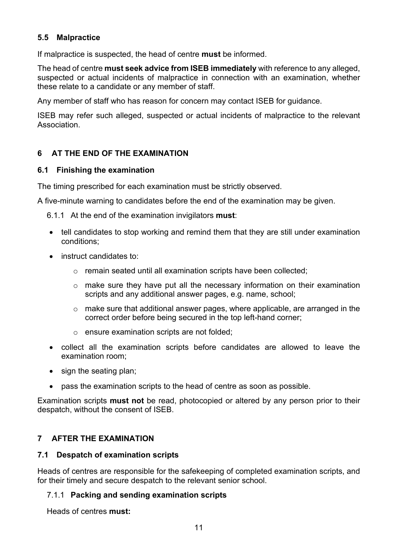## <span id="page-10-0"></span>**5.5 Malpractice**

If malpractice is suspected, the head of centre **must** be informed.

The head of centre **must seek advice from ISEB immediately** with reference to any alleged, suspected or actual incidents of malpractice in connection with an examination, whether these relate to a candidate or any member of staff.

Any member of staff who has reason for concern may contact ISEB for guidance.

ISEB may refer such alleged, suspected or actual incidents of malpractice to the relevant Association.

## <span id="page-10-1"></span>**6 AT THE END OF THE EXAMINATION**

### <span id="page-10-2"></span>**6.1 Finishing the examination**

The timing prescribed for each examination must be strictly observed.

A five-minute warning to candidates before the end of the examination may be given.

6.1.1 At the end of the examination invigilators **must**:

- tell candidates to stop working and remind them that they are still under examination conditions;
- instruct candidates to:
	- o remain seated until all examination scripts have been collected;
	- o make sure they have put all the necessary information on their examination scripts and any additional answer pages, e.g. name, school;
	- o make sure that additional answer pages, where applicable, are arranged in the correct order before being secured in the top left-hand corner;
	- o ensure examination scripts are not folded;
- collect all the examination scripts before candidates are allowed to leave the examination room;
- sign the seating plan;
- pass the examination scripts to the head of centre as soon as possible.

Examination scripts **must not** be read, photocopied or altered by any person prior to their despatch, without the consent of ISEB.

## <span id="page-10-3"></span>**7 AFTER THE EXAMINATION**

#### <span id="page-10-4"></span>**7.1 Despatch of examination scripts**

Heads of centres are responsible for the safekeeping of completed examination scripts, and for their timely and secure despatch to the relevant senior school.

## 7.1.1 **Packing and sending examination scripts**

Heads of centres **must:**